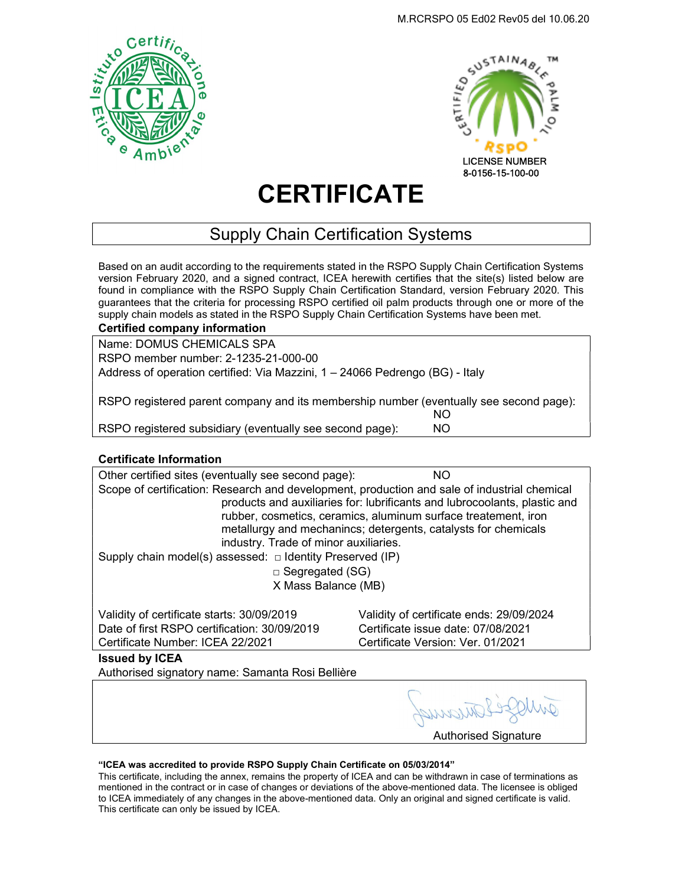



# **CERTIFICATE**

## Supply Chain Certification Systems

Based on an audit according to the requirements stated in the RSPO Supply Chain Certification Systems version February 2020, and a signed contract, ICEA herewith certifies that the site(s) listed below are found in compliance with the RSPO Supply Chain Certification Standard, version February 2020. This guarantees that the criteria for processing RSPO certified oil palm products through one or more of the supply chain models as stated in the RSPO Supply Chain Certification Systems have been met.

| <b>Certified company information</b>                                                   |     |
|----------------------------------------------------------------------------------------|-----|
| Name: DOMUS CHEMICALS SPA                                                              |     |
| RSPO member number: 2-1235-21-000-00                                                   |     |
| Address of operation certified: Via Mazzini, 1 – 24066 Pedrengo (BG) - Italy           |     |
|                                                                                        |     |
| RSPO registered parent company and its membership number (eventually see second page): |     |
|                                                                                        | NO. |
| RSPO registered subsidiary (eventually see second page):                               | NO. |

### Certificate Information

Other certified sites (eventually see second page): NO Scope of certification: Research and development, production and sale of industrial chemical products and auxiliaries for: lubrificants and lubrocoolants, plastic and rubber, cosmetics, ceramics, aluminum surface treatement, iron metallurgy and mechanincs; detergents, catalysts for chemicals industry. Trade of minor auxiliaries. Supply chain model(s) assessed:  $\Box$  Identity Preserved (IP) □ Segregated (SG)

X Mass Balance (MB)

Validity of certificate starts: 30/09/2019 Validity of certificate ends: 29/09/2024 Date of first RSPO certification: 30/09/2019 Certificate issue date: 07/08/2021 Certificate Number: ICEA 22/2021 Certificate Version: Ver. 01/2021

Issued by ICEA

Authorised signatory name: Samanta Rosi Bellière

Authorised Signature

#### "ICEA was accredited to provide RSPO Supply Chain Certificate on 05/03/2014"

This certificate, including the annex, remains the property of ICEA and can be withdrawn in case of terminations as mentioned in the contract or in case of changes or deviations of the above-mentioned data. The licensee is obliged to ICEA immediately of any changes in the above-mentioned data. Only an original and signed certificate is valid. This certificate can only be issued by ICEA.